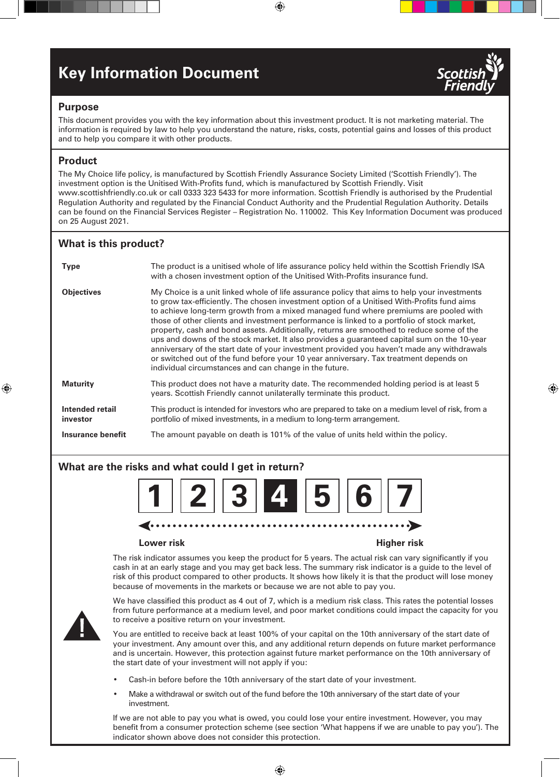# **Key Information Document**



⊕

# **Purpose**

This document provides you with the key information about this investment product. It is not marketing material. The information is required by law to help you understand the nature, risks, costs, potential gains and losses of this product and to help you compare it with other products.

⊕

# **Product**

⊕

The My Choice life policy, is manufactured by Scottish Friendly Assurance Society Limited ('Scottish Friendly'). The investment option is the Unitised With-Profits fund, which is manufactured by Scottish Friendly. Visit www.scottishfriendly.co.uk or call 0333 323 5433 for more information. Scottish Friendly is authorised by the Prudential Regulation Authority and regulated by the Financial Conduct Authority and the Prudential Regulation Authority. Details can be found on the Financial Services Register – Registration No. 110002. This Key Information Document was produced on 25 August 2021.

# **What is this product?**

| <b>Type</b>                 | The product is a unitised whole of life assurance policy held within the Scottish Friendly ISA<br>with a chosen investment option of the Unitised With-Profits insurance fund.                                                                                                                                                                                                                                                                                                                                                                                                                                                                                                                                                                                                                                                |
|-----------------------------|-------------------------------------------------------------------------------------------------------------------------------------------------------------------------------------------------------------------------------------------------------------------------------------------------------------------------------------------------------------------------------------------------------------------------------------------------------------------------------------------------------------------------------------------------------------------------------------------------------------------------------------------------------------------------------------------------------------------------------------------------------------------------------------------------------------------------------|
| <b>Objectives</b>           | My Choice is a unit linked whole of life assurance policy that aims to help your investments<br>to grow tax-efficiently. The chosen investment option of a Unitised With-Profits fund aims<br>to achieve long-term growth from a mixed managed fund where premiums are pooled with<br>those of other clients and investment performance is linked to a portfolio of stock market,<br>property, cash and bond assets. Additionally, returns are smoothed to reduce some of the<br>ups and downs of the stock market. It also provides a guaranteed capital sum on the 10-year<br>anniversary of the start date of your investment provided you haven't made any withdrawals<br>or switched out of the fund before your 10 year anniversary. Tax treatment depends on<br>individual circumstances and can change in the future. |
| <b>Maturity</b>             | This product does not have a maturity date. The recommended holding period is at least 5<br>years. Scottish Friendly cannot unilaterally terminate this product.                                                                                                                                                                                                                                                                                                                                                                                                                                                                                                                                                                                                                                                              |
| Intended retail<br>investor | This product is intended for investors who are prepared to take on a medium level of risk, from a<br>portfolio of mixed investments, in a medium to long-term arrangement.                                                                                                                                                                                                                                                                                                                                                                                                                                                                                                                                                                                                                                                    |
| Insurance benefit           | The amount payable on death is 101% of the value of units held within the policy.                                                                                                                                                                                                                                                                                                                                                                                                                                                                                                                                                                                                                                                                                                                                             |

## **What are the risks and what could I get in return?**



### **Lower risk Higher risk**

The risk indicator assumes you keep the product for 5 years. The actual risk can vary significantly if you cash in at an early stage and you may get back less. The summary risk indicator is a guide to the level of risk of this product compared to other products. It shows how likely it is that the product will lose money because of movements in the markets or because we are not able to pay you.



We have classified this product as 4 out of 7, which is a medium risk class. This rates the potential losses from future performance at a medium level, and poor market conditions could impact the capacity for you to receive a positive return on your investment.

You are entitled to receive back at least 100% of your capital on the 10th anniversary of the start date of your investment. Any amount over this, and any additional return depends on future market performance and is uncertain. However, this protection against future market performance on the 10th anniversary of the start date of your investment will not apply if you:

- Cash-in before before the 10th anniversary of the start date of your investment.
- Make a withdrawal or switch out of the fund before the 10th anniversary of the start date of your investment.

If we are not able to pay you what is owed, you could lose your entire investment. However, you may benefit from a consumer protection scheme (see section 'What happens if we are unable to pay you'). The indicator shown above does not consider this protection.

⊕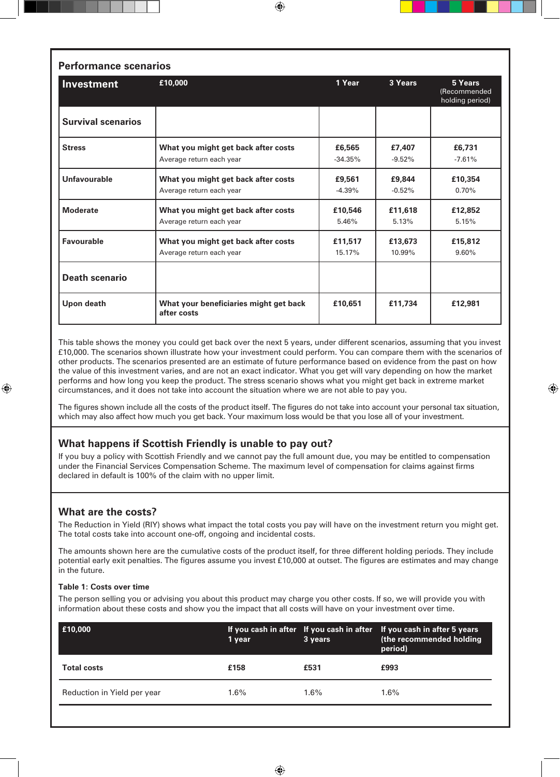| <b>Performance scenarios</b> |                                                                 |                     |                    |                                            |  |  |
|------------------------------|-----------------------------------------------------------------|---------------------|--------------------|--------------------------------------------|--|--|
| Investment                   | £10,000                                                         | 1 Year              | 3 Years            | 5 Years<br>(Recommended<br>holding period) |  |  |
| <b>Survival scenarios</b>    |                                                                 |                     |                    |                                            |  |  |
| <b>Stress</b>                | What you might get back after costs<br>Average return each year | £6,565<br>$-34.35%$ | £7,407<br>$-9.52%$ | £6,731<br>$-7.61%$                         |  |  |
| Unfavourable                 | What you might get back after costs<br>Average return each year | £9,561<br>$-4.39%$  | £9,844<br>$-0.52%$ | £10.354<br>0.70%                           |  |  |
| <b>Moderate</b>              | What you might get back after costs<br>Average return each year | £10,546<br>5.46%    | £11,618<br>5.13%   | £12,852<br>5.15%                           |  |  |
| <b>Favourable</b>            | What you might get back after costs<br>Average return each year | £11.517<br>15.17%   | £13,673<br>10.99%  | £15,812<br>9.60%                           |  |  |
| <b>Death scenario</b>        |                                                                 |                     |                    |                                            |  |  |
| Upon death                   | What your beneficiaries might get back<br>after costs           | £10,651             | £11,734            | £12,981                                    |  |  |

⊕

This table shows the money you could get back over the next 5 years, under different scenarios, assuming that you invest £10,000. The scenarios shown illustrate how your investment could perform. You can compare them with the scenarios of other products. The scenarios presented are an estimate of future performance based on evidence from the past on how the value of this investment varies, and are not an exact indicator. What you get will vary depending on how the market performs and how long you keep the product. The stress scenario shows what you might get back in extreme market circumstances, and it does not take into account the situation where we are not able to pay you.

⊕

The figures shown include all the costs of the product itself. The figures do not take into account your personal tax situation, which may also affect how much you get back. Your maximum loss would be that you lose all of your investment.

# **What happens if Scottish Friendly is unable to pay out?**

If you buy a policy with Scottish Friendly and we cannot pay the full amount due, you may be entitled to compensation under the Financial Services Compensation Scheme. The maximum level of compensation for claims against firms declared in default is 100% of the claim with no upper limit.

# **What are the costs?**

⊕

The Reduction in Yield (RIY) shows what impact the total costs you pay will have on the investment return you might get. The total costs take into account one-off, ongoing and incidental costs.

The amounts shown here are the cumulative costs of the product itself, for three different holding periods. They include potential early exit penalties. The figures assume you invest £10,000 at outset. The figures are estimates and may change in the future.

### **Table 1: Costs over time**

The person selling you or advising you about this product may charge you other costs. If so, we will provide you with information about these costs and show you the impact that all costs will have on your investment over time.

| E10,000                     | '1 year | 3 years | If you cash in after If you cash in after If you cash in after 5 years<br>(the recommended holding<br>period) |
|-----------------------------|---------|---------|---------------------------------------------------------------------------------------------------------------|
| <b>Total costs</b>          | £158    | £531    | £993                                                                                                          |
| Reduction in Yield per year | $1.6\%$ | $1.6\%$ | $1.6\%$                                                                                                       |